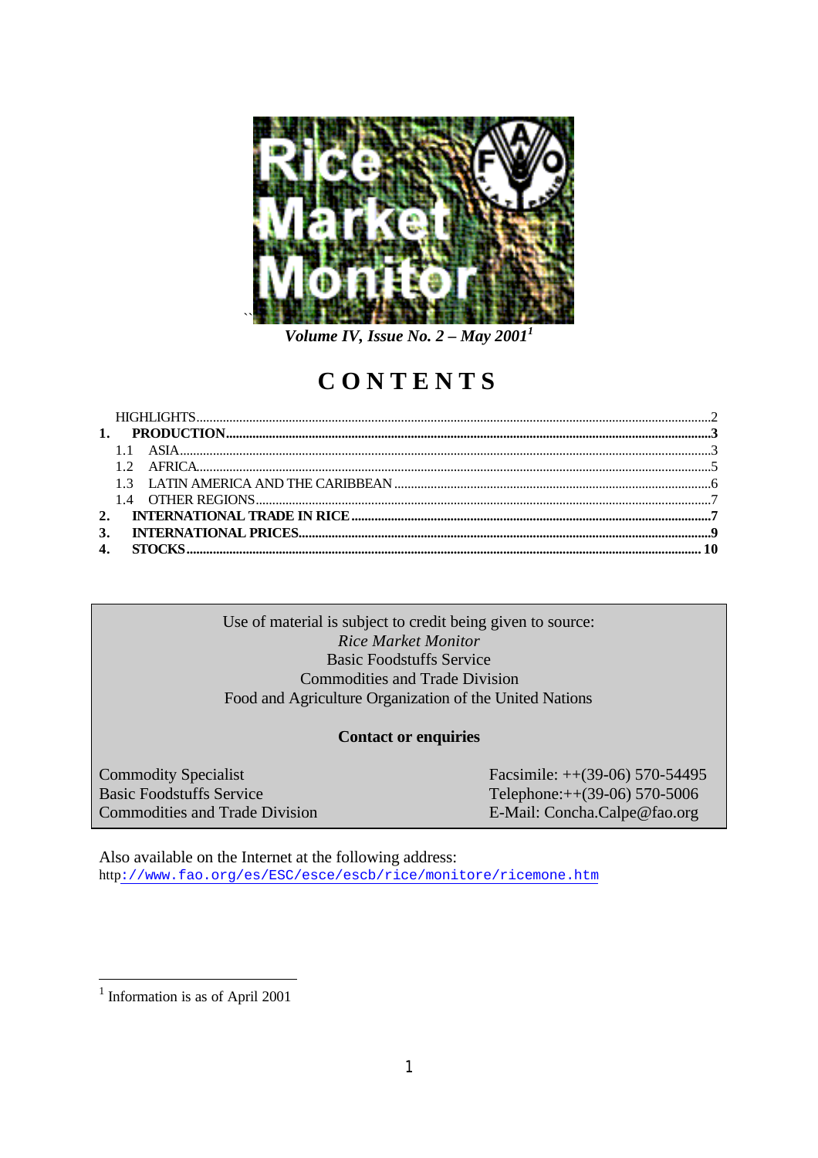

*Volume IV, Issue No. 2 – May 2001<sup>1</sup>*

# **CONTENTS**

# Use of material is subject to credit being given to source: *Rice Market Monitor* Basic Foodstuffs Service Commodities and Trade Division Food and Agriculture Organization of the United Nations

# **Contact or enquiries**

Commodity Specialist Facsimile: ++(39-06) 570-54495 Basic Foodstuffs Service Telephone:++(39-06) 570-5006 Commodities and Trade Division E-Mail: Concha.Calpe@fao.org

Also available on the Internet at the following address: http://www.fao.org/es/ESC/esce/escb/rice/monitore/ricemone.htm

<sup>&</sup>lt;sup>1</sup> Information is as of April 2001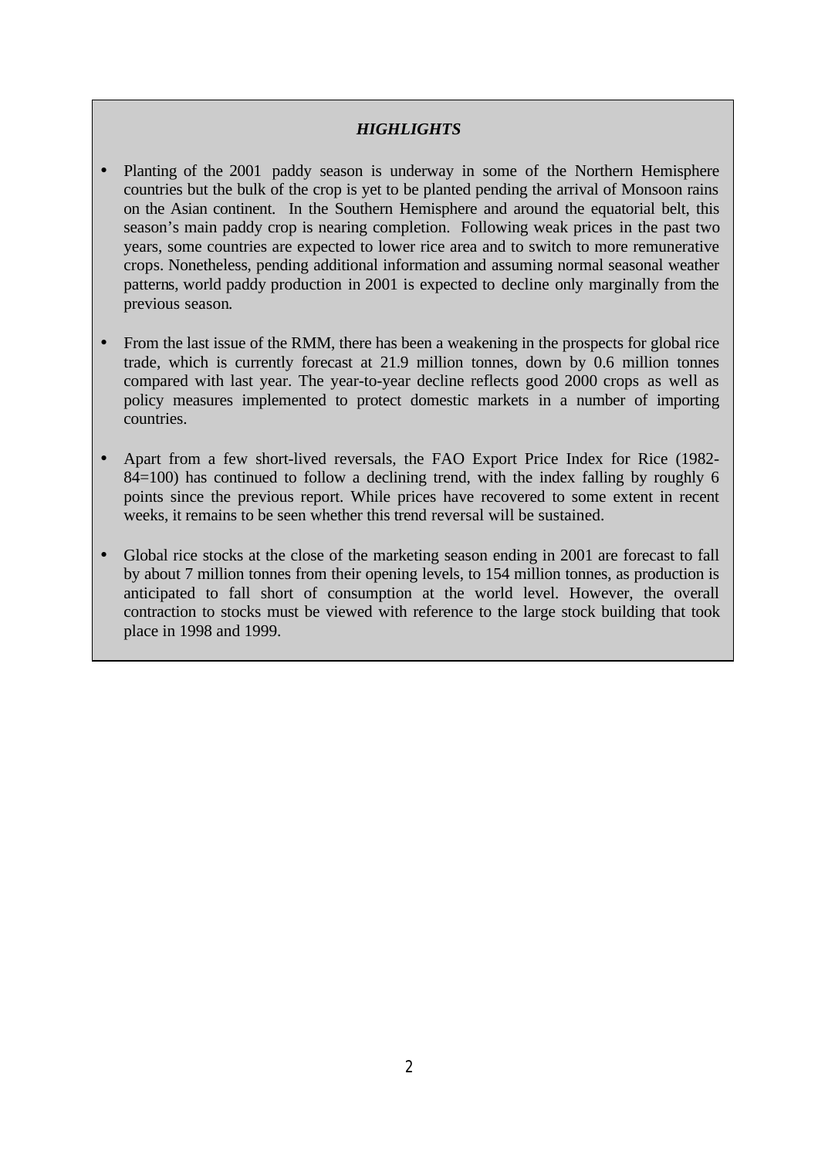# *HIGHLIGHTS*

- Planting of the 2001 paddy season is underway in some of the Northern Hemisphere countries but the bulk of the crop is yet to be planted pending the arrival of Monsoon rains on the Asian continent. In the Southern Hemisphere and around the equatorial belt, this season's main paddy crop is nearing completion. Following weak prices in the past two years, some countries are expected to lower rice area and to switch to more remunerative crops. Nonetheless, pending additional information and assuming normal seasonal weather patterns, world paddy production in 2001 is expected to decline only marginally from the previous season.
- From the last issue of the RMM, there has been a weakening in the prospects for global rice trade, which is currently forecast at 21.9 million tonnes, down by 0.6 million tonnes compared with last year. The year-to-year decline reflects good 2000 crops as well as policy measures implemented to protect domestic markets in a number of importing countries.
- Apart from a few short-lived reversals, the FAO Export Price Index for Rice (1982- 84=100) has continued to follow a declining trend, with the index falling by roughly 6 points since the previous report. While prices have recovered to some extent in recent weeks, it remains to be seen whether this trend reversal will be sustained.
- Global rice stocks at the close of the marketing season ending in 2001 are forecast to fall by about 7 million tonnes from their opening levels, to 154 million tonnes, as production is anticipated to fall short of consumption at the world level. However, the overall contraction to stocks must be viewed with reference to the large stock building that took place in 1998 and 1999.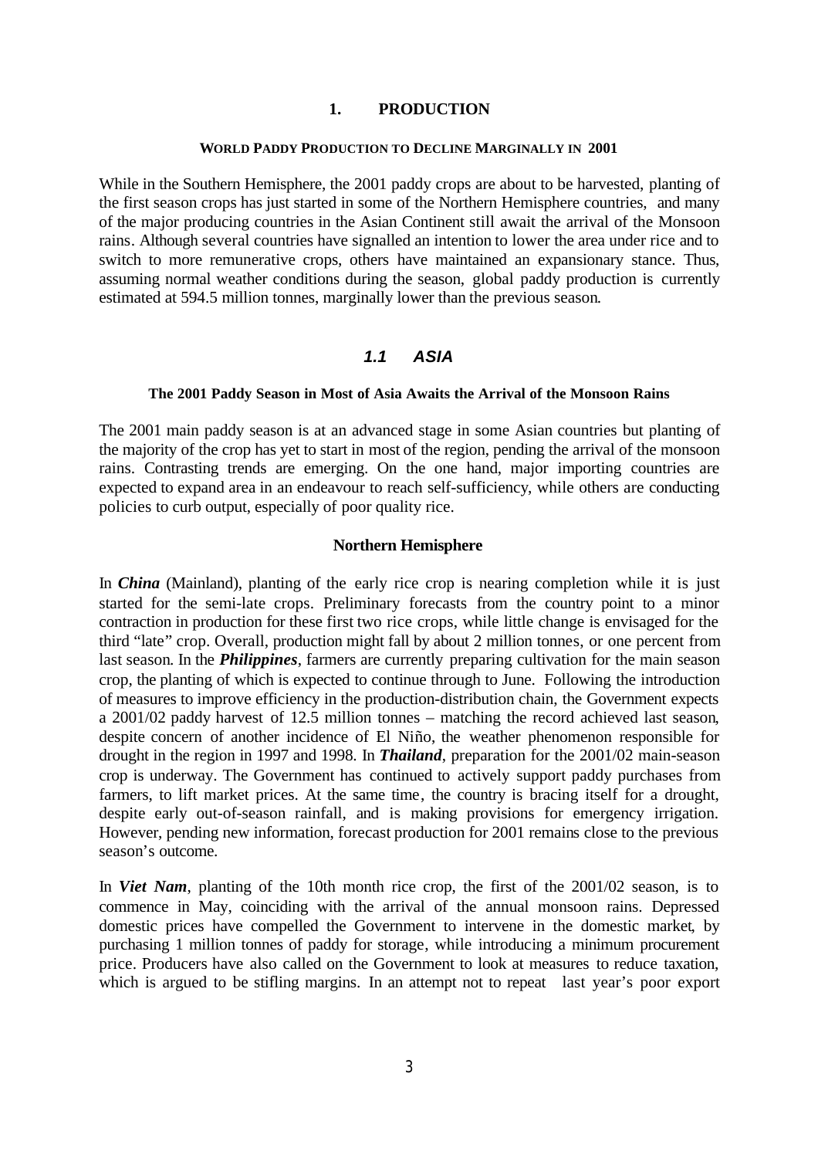#### **1. PRODUCTION**

#### **WORLD PADDY PRODUCTION TO DECLINE MARGINALLY IN 2001**

While in the Southern Hemisphere, the 2001 paddy crops are about to be harvested, planting of the first season crops has just started in some of the Northern Hemisphere countries, and many of the major producing countries in the Asian Continent still await the arrival of the Monsoon rains. Although several countries have signalled an intention to lower the area under rice and to switch to more remunerative crops, others have maintained an expansionary stance. Thus, assuming normal weather conditions during the season, global paddy production is currently estimated at 594.5 million tonnes, marginally lower than the previous season.

## *1.1 ASIA*

#### **The 2001 Paddy Season in Most of Asia Awaits the Arrival of the Monsoon Rains**

The 2001 main paddy season is at an advanced stage in some Asian countries but planting of the majority of the crop has yet to start in most of the region, pending the arrival of the monsoon rains. Contrasting trends are emerging. On the one hand, major importing countries are expected to expand area in an endeavour to reach self-sufficiency, while others are conducting policies to curb output, especially of poor quality rice.

#### **Northern Hemisphere**

In *China* (Mainland), planting of the early rice crop is nearing completion while it is just started for the semi-late crops. Preliminary forecasts from the country point to a minor contraction in production for these first two rice crops, while little change is envisaged for the third "late" crop. Overall, production might fall by about 2 million tonnes, or one percent from last season. In the *Philippines*, farmers are currently preparing cultivation for the main season crop, the planting of which is expected to continue through to June. Following the introduction of measures to improve efficiency in the production-distribution chain, the Government expects a 2001/02 paddy harvest of 12.5 million tonnes – matching the record achieved last season, despite concern of another incidence of El Niño, the weather phenomenon responsible for drought in the region in 1997 and 1998. In *Thailand*, preparation for the 2001/02 main-season crop is underway. The Government has continued to actively support paddy purchases from farmers, to lift market prices. At the same time, the country is bracing itself for a drought, despite early out-of-season rainfall, and is making provisions for emergency irrigation. However, pending new information, forecast production for 2001 remains close to the previous season's outcome.

In *Viet Nam*, planting of the 10th month rice crop, the first of the 2001/02 season, is to commence in May, coinciding with the arrival of the annual monsoon rains. Depressed domestic prices have compelled the Government to intervene in the domestic market, by purchasing 1 million tonnes of paddy for storage, while introducing a minimum procurement price. Producers have also called on the Government to look at measures to reduce taxation, which is argued to be stifling margins. In an attempt not to repeat last year's poor export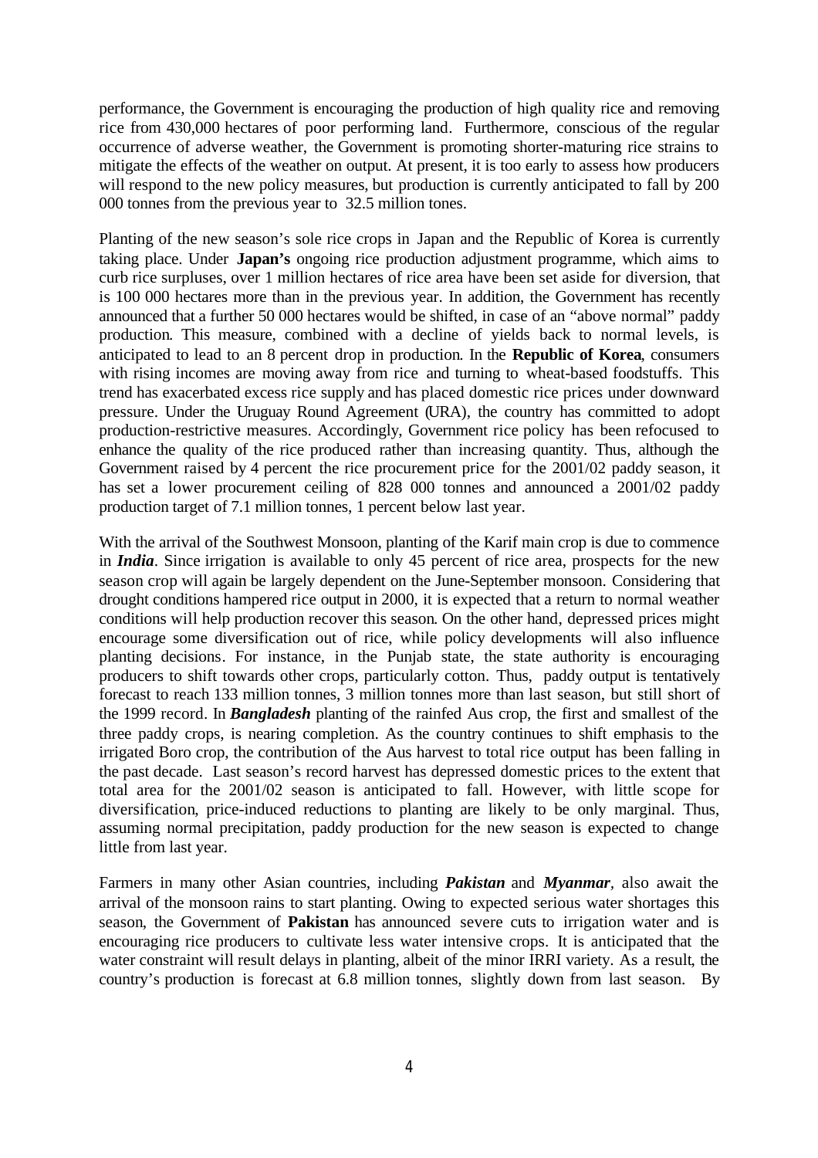performance, the Government is encouraging the production of high quality rice and removing rice from 430,000 hectares of poor performing land. Furthermore, conscious of the regular occurrence of adverse weather, the Government is promoting shorter-maturing rice strains to mitigate the effects of the weather on output. At present, it is too early to assess how producers will respond to the new policy measures, but production is currently anticipated to fall by 200 000 tonnes from the previous year to 32.5 million tones.

Planting of the new season's sole rice crops in Japan and the Republic of Korea is currently taking place. Under **Japan's** ongoing rice production adjustment programme, which aims to curb rice surpluses, over 1 million hectares of rice area have been set aside for diversion, that is 100 000 hectares more than in the previous year. In addition, the Government has recently announced that a further 50 000 hectares would be shifted, in case of an "above normal" paddy production. This measure, combined with a decline of yields back to normal levels, is anticipated to lead to an 8 percent drop in production. In the **Republic of Korea**, consumers with rising incomes are moving away from rice and turning to wheat-based foodstuffs. This trend has exacerbated excess rice supply and has placed domestic rice prices under downward pressure. Under the Uruguay Round Agreement (URA), the country has committed to adopt production-restrictive measures. Accordingly, Government rice policy has been refocused to enhance the quality of the rice produced rather than increasing quantity. Thus, although the Government raised by 4 percent the rice procurement price for the 2001/02 paddy season, it has set a lower procurement ceiling of 828 000 tonnes and announced a 2001/02 paddy production target of 7.1 million tonnes, 1 percent below last year.

With the arrival of the Southwest Monsoon, planting of the Karif main crop is due to commence in *India*. Since irrigation is available to only 45 percent of rice area, prospects for the new season crop will again be largely dependent on the June-September monsoon. Considering that drought conditions hampered rice output in 2000, it is expected that a return to normal weather conditions will help production recover this season. On the other hand, depressed prices might encourage some diversification out of rice, while policy developments will also influence planting decisions. For instance, in the Punjab state, the state authority is encouraging producers to shift towards other crops, particularly cotton. Thus, paddy output is tentatively forecast to reach 133 million tonnes, 3 million tonnes more than last season, but still short of the 1999 record. In *Bangladesh* planting of the rainfed Aus crop, the first and smallest of the three paddy crops, is nearing completion. As the country continues to shift emphasis to the irrigated Boro crop, the contribution of the Aus harvest to total rice output has been falling in the past decade. Last season's record harvest has depressed domestic prices to the extent that total area for the 2001/02 season is anticipated to fall. However, with little scope for diversification, price-induced reductions to planting are likely to be only marginal. Thus, assuming normal precipitation, paddy production for the new season is expected to change little from last year.

Farmers in many other Asian countries, including *Pakistan* and *Myanmar,* also await the arrival of the monsoon rains to start planting. Owing to expected serious water shortages this season, the Government of **Pakistan** has announced severe cuts to irrigation water and is encouraging rice producers to cultivate less water intensive crops. It is anticipated that the water constraint will result delays in planting, albeit of the minor IRRI variety. As a result, the country's production is forecast at 6.8 million tonnes, slightly down from last season. By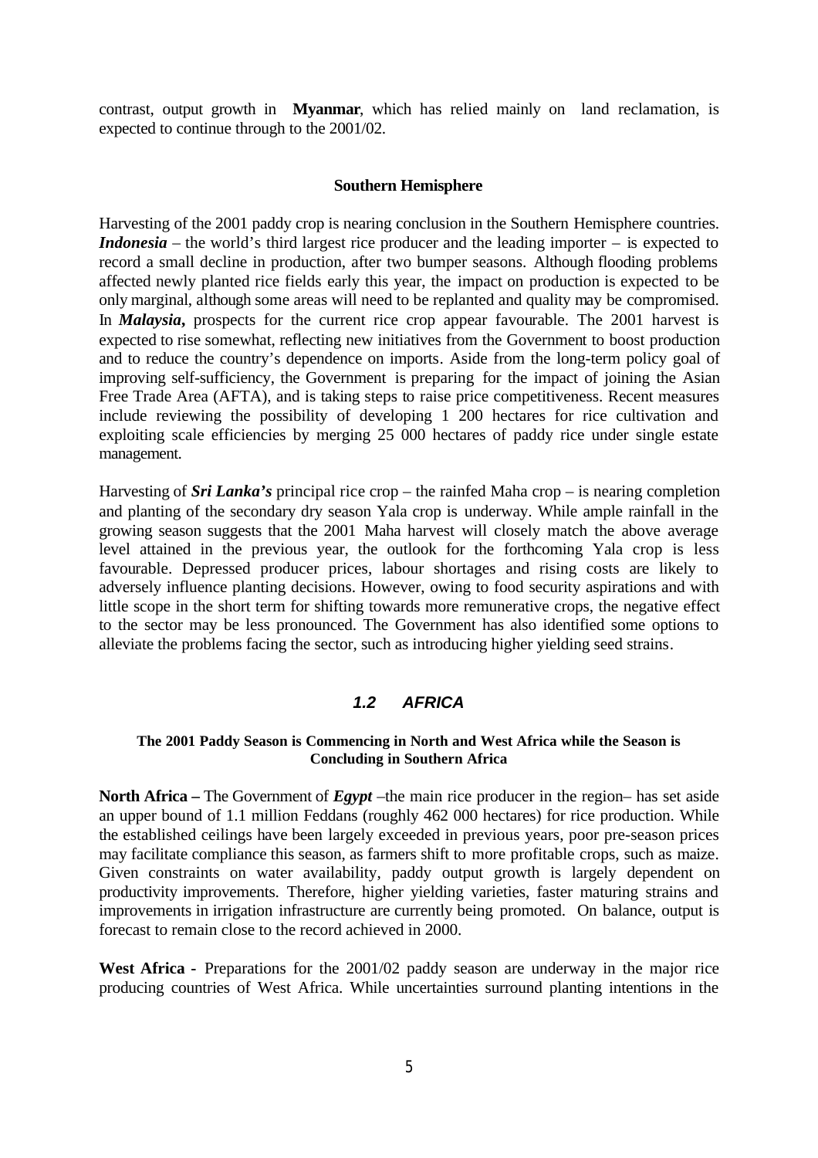contrast, output growth in **Myanmar**, which has relied mainly on land reclamation, is expected to continue through to the 2001/02.

#### **Southern Hemisphere**

Harvesting of the 2001 paddy crop is nearing conclusion in the Southern Hemisphere countries. *Indonesia* – the world's third largest rice producer and the leading importer – is expected to record a small decline in production, after two bumper seasons. Although flooding problems affected newly planted rice fields early this year, the impact on production is expected to be only marginal, although some areas will need to be replanted and quality may be compromised. In *Malaysia***,** prospects for the current rice crop appear favourable. The 2001 harvest is expected to rise somewhat, reflecting new initiatives from the Government to boost production and to reduce the country's dependence on imports. Aside from the long-term policy goal of improving self-sufficiency, the Government is preparing for the impact of joining the Asian Free Trade Area (AFTA), and is taking steps to raise price competitiveness. Recent measures include reviewing the possibility of developing 1 200 hectares for rice cultivation and exploiting scale efficiencies by merging 25 000 hectares of paddy rice under single estate management.

Harvesting of *Sri Lanka's* principal rice crop – the rainfed Maha crop – is nearing completion and planting of the secondary dry season Yala crop is underway. While ample rainfall in the growing season suggests that the 2001 Maha harvest will closely match the above average level attained in the previous year, the outlook for the forthcoming Yala crop is less favourable. Depressed producer prices, labour shortages and rising costs are likely to adversely influence planting decisions. However, owing to food security aspirations and with little scope in the short term for shifting towards more remunerative crops, the negative effect to the sector may be less pronounced. The Government has also identified some options to alleviate the problems facing the sector, such as introducing higher yielding seed strains.

## *1.2 AFRICA*

#### **The 2001 Paddy Season is Commencing in North and West Africa while the Season is Concluding in Southern Africa**

**North Africa –** The Government of *Egypt* –the main rice producer in the region– has set aside an upper bound of 1.1 million Feddans (roughly 462 000 hectares) for rice production. While the established ceilings have been largely exceeded in previous years, poor pre-season prices may facilitate compliance this season, as farmers shift to more profitable crops, such as maize. Given constraints on water availability, paddy output growth is largely dependent on productivity improvements. Therefore, higher yielding varieties, faster maturing strains and improvements in irrigation infrastructure are currently being promoted. On balance, output is forecast to remain close to the record achieved in 2000.

West Africa - Preparations for the 2001/02 paddy season are underway in the major rice producing countries of West Africa. While uncertainties surround planting intentions in the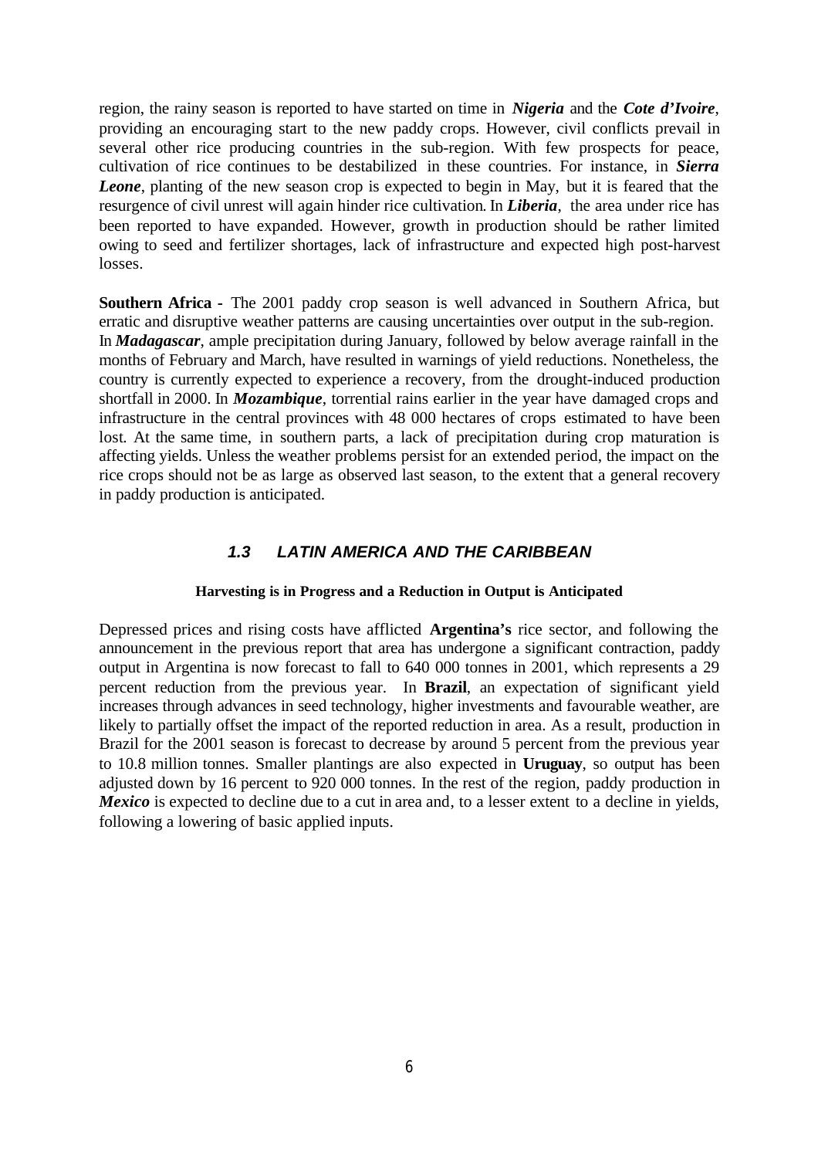region, the rainy season is reported to have started on time in *Nigeria* and the *Cote d'Ivoire*, providing an encouraging start to the new paddy crops. However, civil conflicts prevail in several other rice producing countries in the sub-region. With few prospects for peace, cultivation of rice continues to be destabilized in these countries. For instance, in *Sierra Leone*, planting of the new season crop is expected to begin in May, but it is feared that the resurgence of civil unrest will again hinder rice cultivation. In *Liberia*, the area under rice has been reported to have expanded. However, growth in production should be rather limited owing to seed and fertilizer shortages, lack of infrastructure and expected high post-harvest losses.

**Southern Africa -** The 2001 paddy crop season is well advanced in Southern Africa, but erratic and disruptive weather patterns are causing uncertainties over output in the sub-region. In *Madagascar*, ample precipitation during January, followed by below average rainfall in the months of February and March, have resulted in warnings of yield reductions. Nonetheless, the country is currently expected to experience a recovery, from the drought-induced production shortfall in 2000. In *Mozambique*, torrential rains earlier in the year have damaged crops and infrastructure in the central provinces with 48 000 hectares of crops estimated to have been lost. At the same time, in southern parts, a lack of precipitation during crop maturation is affecting yields. Unless the weather problems persist for an extended period, the impact on the rice crops should not be as large as observed last season, to the extent that a general recovery in paddy production is anticipated.

# *1.3 LATIN AMERICA AND THE CARIBBEAN*

### **Harvesting is in Progress and a Reduction in Output is Anticipated**

Depressed prices and rising costs have afflicted **Argentina's** rice sector, and following the announcement in the previous report that area has undergone a significant contraction, paddy output in Argentina is now forecast to fall to 640 000 tonnes in 2001, which represents a 29 percent reduction from the previous year. In **Brazil**, an expectation of significant yield increases through advances in seed technology, higher investments and favourable weather, are likely to partially offset the impact of the reported reduction in area. As a result, production in Brazil for the 2001 season is forecast to decrease by around 5 percent from the previous year to 10.8 million tonnes. Smaller plantings are also expected in **Uruguay**, so output has been adjusted down by 16 percent to 920 000 tonnes. In the rest of the region, paddy production in *Mexico* is expected to decline due to a cut in area and, to a lesser extent to a decline in yields, following a lowering of basic applied inputs.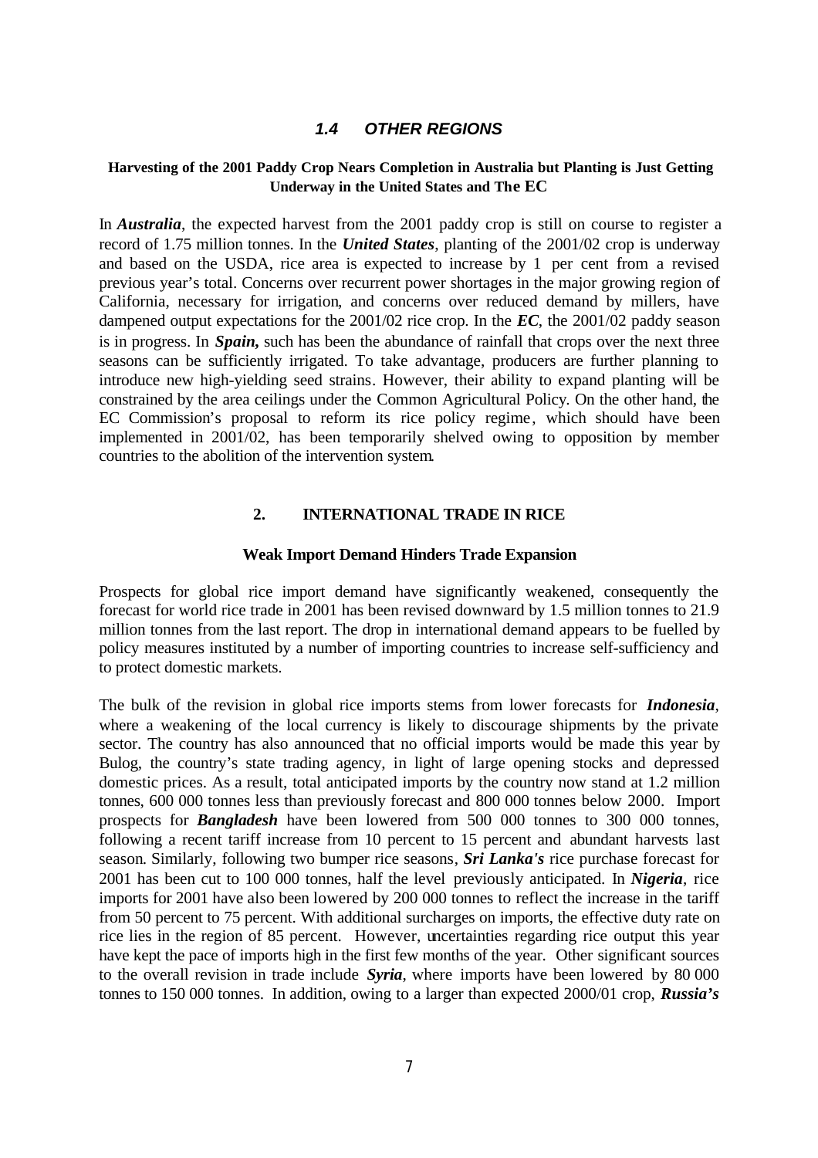# *1.4 OTHER REGIONS*

## **Harvesting of the 2001 Paddy Crop Nears Completion in Australia but Planting is Just Getting Underway in the United States and The EC**

In *Australia*, the expected harvest from the 2001 paddy crop is still on course to register a record of 1.75 million tonnes. In the *United States*, planting of the 2001/02 crop is underway and based on the USDA, rice area is expected to increase by 1 per cent from a revised previous year's total. Concerns over recurrent power shortages in the major growing region of California, necessary for irrigation, and concerns over reduced demand by millers, have dampened output expectations for the 2001/02 rice crop. In the *EC*, the 2001/02 paddy season is in progress. In *Spain***,** such has been the abundance of rainfall that crops over the next three seasons can be sufficiently irrigated. To take advantage, producers are further planning to introduce new high-yielding seed strains. However, their ability to expand planting will be constrained by the area ceilings under the Common Agricultural Policy. On the other hand, the EC Commission's proposal to reform its rice policy regime, which should have been implemented in 2001/02, has been temporarily shelved owing to opposition by member countries to the abolition of the intervention system.

## **2. INTERNATIONAL TRADE IN RICE**

#### **Weak Import Demand Hinders Trade Expansion**

Prospects for global rice import demand have significantly weakened, consequently the forecast for world rice trade in 2001 has been revised downward by 1.5 million tonnes to 21.9 million tonnes from the last report. The drop in international demand appears to be fuelled by policy measures instituted by a number of importing countries to increase self-sufficiency and to protect domestic markets.

The bulk of the revision in global rice imports stems from lower forecasts for *Indonesia*, where a weakening of the local currency is likely to discourage shipments by the private sector. The country has also announced that no official imports would be made this year by Bulog, the country's state trading agency, in light of large opening stocks and depressed domestic prices. As a result, total anticipated imports by the country now stand at 1.2 million tonnes, 600 000 tonnes less than previously forecast and 800 000 tonnes below 2000. Import prospects for *Bangladesh* have been lowered from 500 000 tonnes to 300 000 tonnes, following a recent tariff increase from 10 percent to 15 percent and abundant harvests last season. Similarly, following two bumper rice seasons, *Sri Lanka's* rice purchase forecast for 2001 has been cut to 100 000 tonnes, half the level previously anticipated. In *Nigeria*, rice imports for 2001 have also been lowered by 200 000 tonnes to reflect the increase in the tariff from 50 percent to 75 percent. With additional surcharges on imports, the effective duty rate on rice lies in the region of 85 percent. However, uncertainties regarding rice output this year have kept the pace of imports high in the first few months of the year. Other significant sources to the overall revision in trade include *Syria*, where imports have been lowered by 80 000 tonnes to 150 000 tonnes. In addition, owing to a larger than expected 2000/01 crop, *Russia's*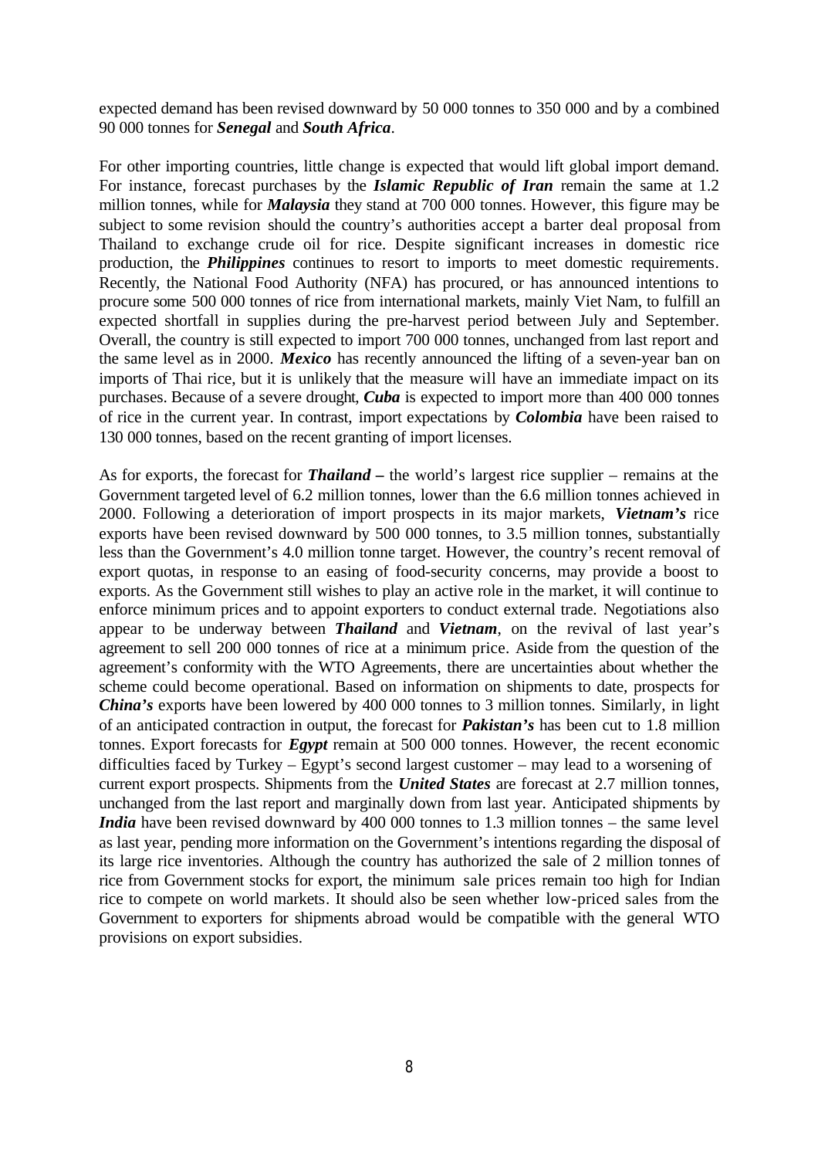expected demand has been revised downward by 50 000 tonnes to 350 000 and by a combined 90 000 tonnes for *Senegal* and *South Africa*.

For other importing countries, little change is expected that would lift global import demand. For instance, forecast purchases by the *Islamic Republic of Iran* remain the same at 1.2 million tonnes, while for *Malaysia* they stand at 700 000 tonnes. However, this figure may be subject to some revision should the country's authorities accept a barter deal proposal from Thailand to exchange crude oil for rice. Despite significant increases in domestic rice production, the *Philippines* continues to resort to imports to meet domestic requirements. Recently, the National Food Authority (NFA) has procured, or has announced intentions to procure some 500 000 tonnes of rice from international markets, mainly Viet Nam, to fulfill an expected shortfall in supplies during the pre-harvest period between July and September. Overall, the country is still expected to import 700 000 tonnes, unchanged from last report and the same level as in 2000. *Mexico* has recently announced the lifting of a seven-year ban on imports of Thai rice, but it is unlikely that the measure will have an immediate impact on its purchases. Because of a severe drought, *Cuba* is expected to import more than 400 000 tonnes of rice in the current year. In contrast, import expectations by *Colombia* have been raised to 130 000 tonnes, based on the recent granting of import licenses.

As for exports, the forecast for *Thailand –* the world's largest rice supplier – remains at the Government targeted level of 6.2 million tonnes, lower than the 6.6 million tonnes achieved in 2000. Following a deterioration of import prospects in its major markets, *Vietnam's* rice exports have been revised downward by 500 000 tonnes, to 3.5 million tonnes, substantially less than the Government's 4.0 million tonne target. However, the country's recent removal of export quotas, in response to an easing of food-security concerns, may provide a boost to exports. As the Government still wishes to play an active role in the market, it will continue to enforce minimum prices and to appoint exporters to conduct external trade. Negotiations also appear to be underway between *Thailand* and *Vietnam*, on the revival of last year's agreement to sell 200 000 tonnes of rice at a minimum price. Aside from the question of the agreement's conformity with the WTO Agreements, there are uncertainties about whether the scheme could become operational. Based on information on shipments to date, prospects for *China's* exports have been lowered by 400 000 tonnes to 3 million tonnes. Similarly, in light of an anticipated contraction in output, the forecast for *Pakistan's* has been cut to 1.8 million tonnes. Export forecasts for *Egypt* remain at 500 000 tonnes. However, the recent economic difficulties faced by Turkey – Egypt's second largest customer – may lead to a worsening of current export prospects. Shipments from the *United States* are forecast at 2.7 million tonnes, unchanged from the last report and marginally down from last year. Anticipated shipments by *India* have been revised downward by 400 000 tonnes to 1.3 million tonnes – the same level as last year, pending more information on the Government's intentions regarding the disposal of its large rice inventories. Although the country has authorized the sale of 2 million tonnes of rice from Government stocks for export, the minimum sale prices remain too high for Indian rice to compete on world markets. It should also be seen whether low-priced sales from the Government to exporters for shipments abroad would be compatible with the general WTO provisions on export subsidies.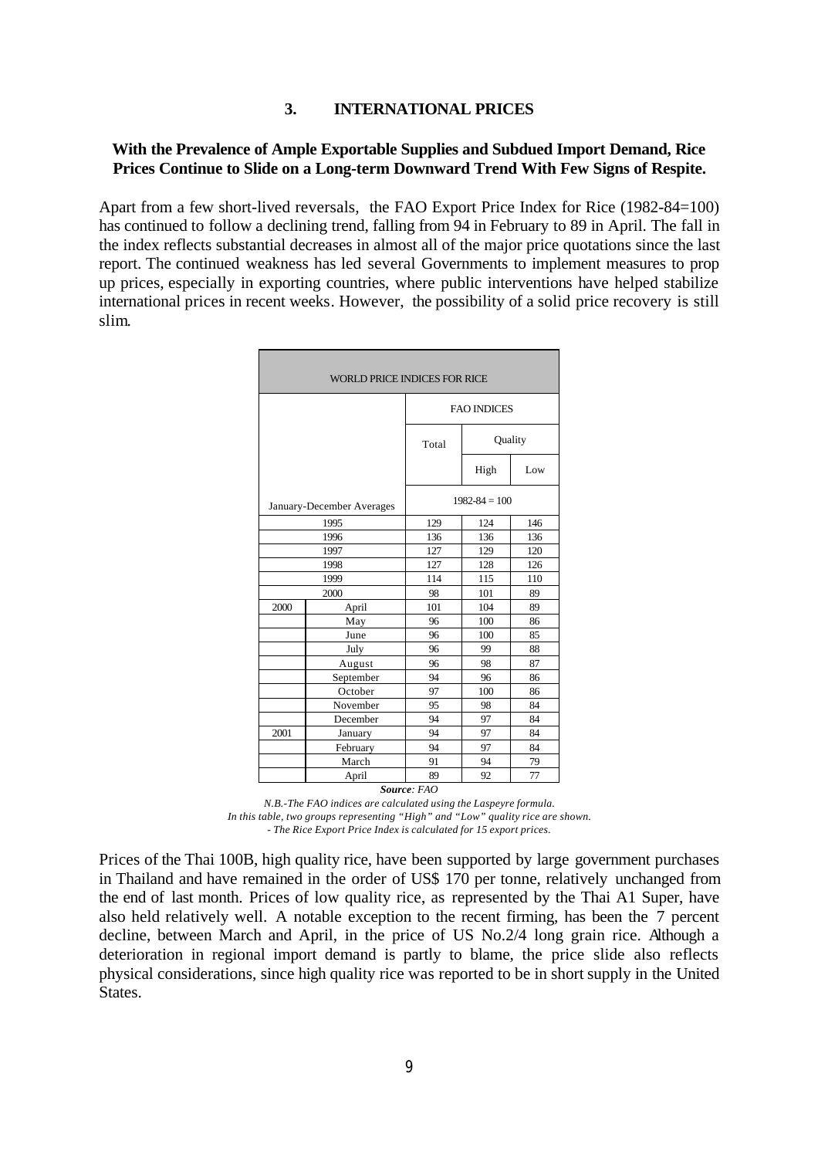## **3. INTERNATIONAL PRICES**

## **With the Prevalence of Ample Exportable Supplies and Subdued Import Demand, Rice Prices Continue to Slide on a Long-term Downward Trend With Few Signs of Respite.**

Apart from a few short-lived reversals, the FAO Export Price Index for Rice (1982-84=100) has continued to follow a declining trend, falling from 94 in February to 89 in April. The fall in the index reflects substantial decreases in almost all of the major price quotations since the last report. The continued weakness has led several Governments to implement measures to prop up prices, especially in exporting countries, where public interventions have helped stabilize international prices in recent weeks. However, the possibility of a solid price recovery is still slim.

| WORLD PRICE INDICES FOR RICE |                           |                    |         |     |  |  |  |  |
|------------------------------|---------------------------|--------------------|---------|-----|--|--|--|--|
|                              |                           | <b>FAO INDICES</b> |         |     |  |  |  |  |
|                              |                           | Total              | Quality |     |  |  |  |  |
|                              |                           |                    | High    | Low |  |  |  |  |
|                              | January-December Averages | $1982 - 84 = 100$  |         |     |  |  |  |  |
|                              | 1995                      | 129                | 124     | 146 |  |  |  |  |
|                              | 1996                      | 136                | 136     | 136 |  |  |  |  |
|                              | 1997                      | 127                | 129     | 120 |  |  |  |  |
|                              | 1998                      | 127                | 128     | 126 |  |  |  |  |
|                              | 1999                      | 114                | 115     | 110 |  |  |  |  |
|                              | 2000                      | 98                 | 101     | 89  |  |  |  |  |
| 2000                         | April                     | 101                | 104     | 89  |  |  |  |  |
|                              | May                       | 96                 | 100     | 86  |  |  |  |  |
|                              | June                      | 96                 | 100     | 85  |  |  |  |  |
|                              | July                      | 96                 | 99      | 88  |  |  |  |  |
|                              | August                    | 96                 | 98      | 87  |  |  |  |  |
|                              | September                 | 94                 | 96      | 86  |  |  |  |  |
|                              | October                   | 97                 | 100     | 86  |  |  |  |  |
|                              | November                  | 95                 | 98      | 84  |  |  |  |  |
|                              | December                  | 94                 | 97      | 84  |  |  |  |  |
| 2001                         | January                   | 94                 | 97      | 84  |  |  |  |  |
|                              | February                  | 94                 | 97      | 84  |  |  |  |  |
|                              | March                     | 91                 | 94      | 79  |  |  |  |  |
|                              | April                     | 89                 | 92      | 77  |  |  |  |  |
|                              |                           | Source: FAO        |         |     |  |  |  |  |

*N.B.-The FAO indices are calculated using the Laspeyre formula. In this table, two groups representing "High" and "Low" quality rice are shown. - The Rice Export Price Index is calculated for 15 export prices.*

Prices of the Thai 100B, high quality rice, have been supported by large government purchases in Thailand and have remained in the order of US\$ 170 per tonne, relatively unchanged from the end of last month. Prices of low quality rice, as represented by the Thai A1 Super, have also held relatively well. A notable exception to the recent firming, has been the 7 percent decline, between March and April, in the price of US No.2/4 long grain rice. Although a deterioration in regional import demand is partly to blame, the price slide also reflects physical considerations, since high quality rice was reported to be in short supply in the United States.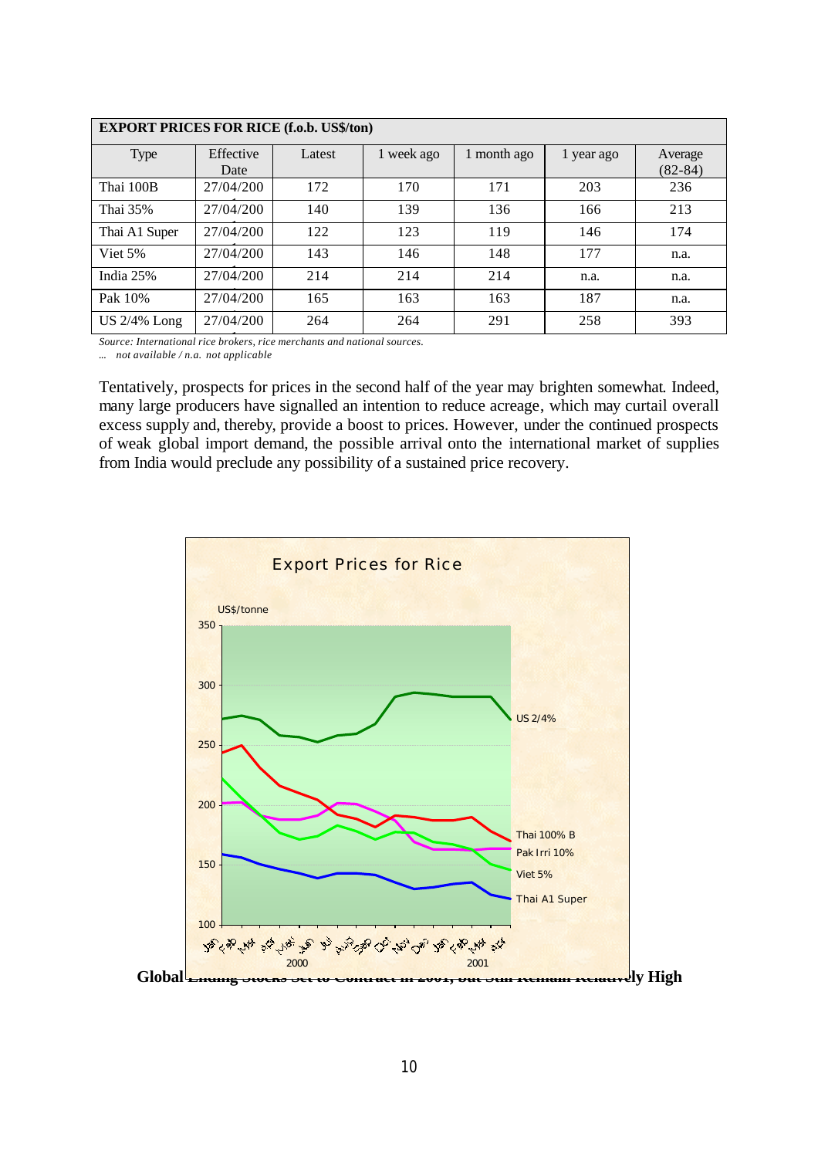| <b>EXPORT PRICES FOR RICE (f.o.b. US\$/ton)</b> |           |        |            |             |            |           |  |  |  |  |  |
|-------------------------------------------------|-----------|--------|------------|-------------|------------|-----------|--|--|--|--|--|
| Type                                            | Effective | Latest | 1 week ago | 1 month ago | 1 year ago | Average   |  |  |  |  |  |
|                                                 | Date      |        |            |             |            | $(82-84)$ |  |  |  |  |  |
| Thai 100B                                       | 27/04/200 | 172    | 170        | 171         | 203        | 236       |  |  |  |  |  |
| Thai 35%                                        | 27/04/200 | 140    | 139        | 136         | 166        | 213       |  |  |  |  |  |
| Thai A1 Super                                   | 27/04/200 | 122    | 123        | 119         | 146        | 174       |  |  |  |  |  |
| Viet 5%                                         | 27/04/200 | 143    | 146        | 148         | 177        | n.a.      |  |  |  |  |  |
| India 25%                                       | 27/04/200 | 214    | 214        | 214         | n.a.       | n.a.      |  |  |  |  |  |
| Pak 10%                                         | 27/04/200 | 165    | 163        | 163         | 187        | n.a.      |  |  |  |  |  |
| <b>US 2/4% Long</b>                             | 27/04/200 | 264    | 264        | 291         | 258        | 393       |  |  |  |  |  |

1 *Source: International rice brokers, rice merchants and national sources. ... not available / n.a. not applicable*

Tentatively, prospects for prices in the second half of the year may brighten somewhat. Indeed, many large producers have signalled an intention to reduce acreage, which may curtail overall excess supply and, thereby, provide a boost to prices. However, under the continued prospects of weak global import demand, the possible arrival onto the international market of supplies from India would preclude any possibility of a sustained price recovery.